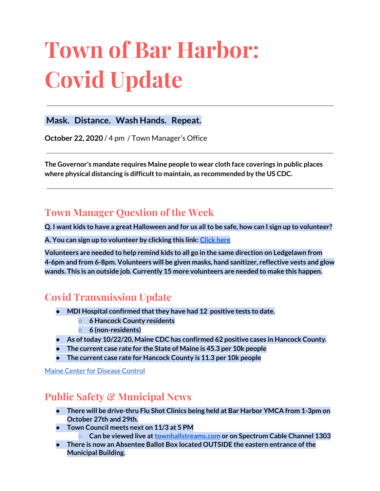# **Town of Bar Harbor: Covid Update**

#### **Mask. Distance. Wash Hands. Repeat.**

**October 22, 2020** / 4 pm / Town Manager's Office

**The Governor's mandate requires Maine people to wear cloth face coverings in public places where physical distancing is difficultto maintain, as recommended by the US CDC.**

# **Town Manager Question of the Week**

Q. I want kids to have a great Halloween and for us all to be safe, how can I sign up to volunteer?

**A. You can sign up to volunteer by clicking this link: [Click](https://forms.gle/BXtZUM59yrAWhhBw5) here**

**Volunteers are needed to help remind kids to all go in the same direction on Ledgelawn from 4-6pm and from 6-8pm. Volunteers will be given masks, hand sanitizer, reflective vests and glow wands. This is an outside job. Currently 15 more volunteers are needed to make this happen.**

# **Covid Transmission Update**

- **● MDI Hospital confirmed thatthey have had 12 positive tests to date.**
	- **○ 6 Hancock County residents**
	- **○ 6 (non-residents)**
- **● As oftoday 10/22/20, Maine CDC has confirmed 62 positive cases in Hancock County.**
- **● The current case rate for the State of Maine is 45.3 per 10k people**
- **● The current case rate for Hancock County is 11.3 per 10k people**

Maine Center for [Disease](https://www.maine.gov/dhhs/mecdc/infectious-disease/epi/airborne/coronavirus.shtml) Control

## **Public Safety & Municipal News**

- **There will be drive-thru Flu Shot Clinics being held at Bar Harbor YMCA from 1-3pm on October 27th and 29th.**
- **Town Council meets next on 11/3 at 5 PM**
	- **Can be viewed live at[townhallstreams.com](https://townhallstreams.com/) or on Spectrum Cable Channel 1303**
- **● There is now an Absentee Ballot Box located OUTSIDE the eastern entrance ofthe Municipal Building.**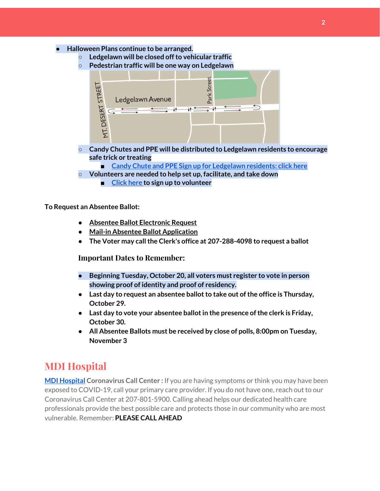- **● Halloween Plans continue to be arranged.**
	- **○ Ledgelawn will be closed offto vehicular traffic**
	- **○ Pedestrian traffic will be one way on Ledgelawn**



- **○ Candy Chutes and PPE will be distributed to Ledgelawn residents to encourage safe trick or treating**
	- **■ Candy Chute and PPE Sign up for [Ledgelawn](https://forms.gle/juk9gruLLRRZzXw18) residents: click here**
- **○ Volunteers are needed to help set up, facilitate, and take down**
	- **■ [Click](https://forms.gle/BXtZUM59yrAWhhBw5) here to sign up to volunteer**

**To Request an Absentee Ballot:**

- **● Absentee Ballot [Electronic](https://apps.web.maine.gov/cgi-bin/online/AbsenteeBallot/index.pl) Request**
- **● Mail-in Absentee Ballot [Application](https://www.barharbormaine.gov/DocumentCenter/View/4362/2020-11-Absentee-Ballot-Application)**
- **● The Voter may callthe Clerk's office at 207-288-4098 to request a ballot**

**Important Dates to Remember:**

- **● Beginning Tuesday, October 20, all voters must register to vote in person showing proof of identity and proof of residency.**
- **•** Last day to request an absentee ballot to take out of the office is Thursday, **October 29.**
- **● Last day to vote your absentee ballotin the presence ofthe clerk is Friday, October 30.**
- **● All Absentee Ballots must be received by close of polls, 8:00pm on Tuesday, November 3**

#### **MDI Hospital**

**MDI [Hospital](https://www.mdihospital.org/) Coronavirus Call Center :** If you are having symptoms or think you may have been exposed to COVID-19, call your primary care provider. If you do not have one, reach out to our Coronavirus Call Center at 207-801-5900. Calling ahead helps our dedicated health care professionals provide the best possible care and protects those in our community who are most vulnerable. Remember: **PLEASE CALL AHEAD**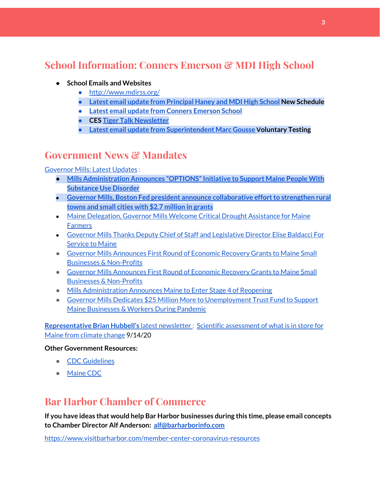# **School Information: Conners Emerson & MDI High School**

- **● School Emails and Websites**
	- <http://www.mdirss.org/>
	- **● Latest email update from [Principal](https://docs.google.com/document/d/1OKDsYNtOgV0FI9xAcXwQvenOKLV0S2vBg1o5jtu5CrE/edit?usp=sharing) Haney and MDI High School New Schedule**
	- **● Latest email update from Conners [Emerson](https://docs.google.com/document/d/1v3pgkG6Q-9S3gisuUIj4etPVDwgBKl4P00JBkvZr-kk/edit?usp=sharing) School**
	- **● CES Tiger Talk [Newsletter](https://sites.google.com/mdirss.org/conners-emerson-school/newsletter?authuser=0)**
	- **● Latest email update from [Superintendent](https://docs.google.com/document/d/1fzeCbc8gpTSKmUaDoQH1Avx5PVl-h0reFphXrT1eUNA/edit?usp=sharing) Marc Gousse Voluntary Testing**

#### **Government News & Mandates**

[Governor](https://www.maine.gov/governor/mills/) Mills: Latest Updates :

- **Mills Administration Announces ["OPTIONS"Initiative](https://www.maine.gov/governor/mills/news/mills-administration-announces-options-initiative-support-maine-people-substance-use-disorder) to Support Maine People With [Substance](https://www.maine.gov/governor/mills/news/mills-administration-announces-options-initiative-support-maine-people-substance-use-disorder) Use Disorder**
- **Governor Mills, Boston Fed president announce [collaborative](https://www.maine.gov/governor/mills/news/governor-mills-boston-fed-president-announce-collaborative-effort-strengthen-rural-towns-and) effort to strengthen rural towns and small cities with \$2.7 [million](https://www.maine.gov/governor/mills/news/governor-mills-boston-fed-president-announce-collaborative-effort-strengthen-rural-towns-and) in grants**
- Maine [Delegation,](https://www.maine.gov/governor/mills/news/maine-delegation-governor-mills-welcome-critical-drought-assistance-maine-farmers-2020-10-20) Governor Mills Welcome Critical Drought Assistance for Maine **[Farmers](https://www.maine.gov/governor/mills/news/maine-delegation-governor-mills-welcome-critical-drought-assistance-maine-farmers-2020-10-20)**
- Governor Mills Thanks Deputy Chief of Staff and [Legislative](https://www.maine.gov/governor/mills/news/governor-mills-thanks-deputy-chief-staff-and-legislative-director-elise-baldacci-service-maine) Director Elise Baldacci For [Service](https://www.maine.gov/governor/mills/news/governor-mills-thanks-deputy-chief-staff-and-legislative-director-elise-baldacci-service-maine) to Maine
- Governor Mills [Announces](https://www.maine.gov/governor/mills/news/governor-mills-announces-first-round-economic-recovery-grants-maine-small-businesses-non) First Round of Economic Recovery Grants to Maine Small Businesses & [Non-Profits](https://www.maine.gov/governor/mills/news/governor-mills-announces-first-round-economic-recovery-grants-maine-small-businesses-non)
- Governor Mills [Announces](https://www.maine.gov/governor/mills/news/governor-mills-announces-first-round-economic-recovery-grants-maine-small-businesses-non) First Round of Economic Recovery Grants to Maine Small Businesses & [Non-Profits](https://www.maine.gov/governor/mills/news/governor-mills-announces-first-round-economic-recovery-grants-maine-small-businesses-non)
- Mills [Administration](https://www.maine.gov/governor/mills/news/mills-administration-announces-maine-enter-stage-4-reopening-2020-10-06) Announces Maine to Enter Stage 4 of Reopening
- Governor Mills Dedicates \$25 Million More to [Unemployment](https://www.maine.gov/governor/mills/news/governor-mills-dedicates-25-million-more-unemployment-trust-fund-support-maine-businesses) Trust Fund to Support Maine [Businesses](https://www.maine.gov/governor/mills/news/governor-mills-dedicates-25-million-more-unemployment-trust-fund-support-maine-businesses) & Workers During Pandemic

**[Representative](http://www.rephubbell.com/) Brian Hubbell's** latest [newsletter](http://www.rephubbell.com/) : Scientific [assessment](http://www.rephubbell.com/2020/09/14/scientific-assessment-of-what-is-in-store-for-maine-from-climate-change/) of what is in store for Maine from [climate](http://www.rephubbell.com/2020/09/14/scientific-assessment-of-what-is-in-store-for-maine-from-climate-change/) change 9/14/20

#### **Other Government Resources:**

- CDC [Guidelines](https://www.cdc.gov/coronavirus/2019-nCoV/index.html)
- [Maine](https://www.maine.gov/dhhs/mecdc/infectious-disease/epi/airborne/coronavirus.shtml#news) CDC

#### **Bar Harbor Chamber of Commerce**

**If you have ideas that would help Bar Harbor businesses during this time, please email concepts to Chamber Director Alf Anderson: [alf@barharborinfo.com](mailto:alf@barharborinfo.com)**

<https://www.visitbarharbor.com/member-center-coronavirus-resources>